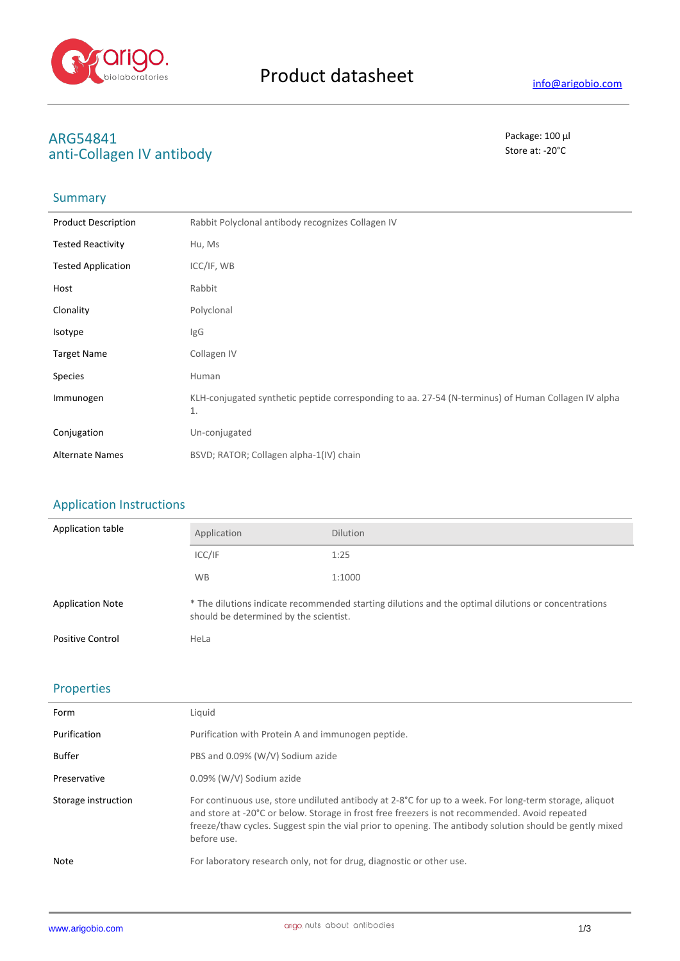

# **ARG54841** Package: 100 μl<br>
anti-Collagen IV antibody anti-Collagen IV antibody

## Summary

| <b>Product Description</b> | Rabbit Polyclonal antibody recognizes Collagen IV                                                         |
|----------------------------|-----------------------------------------------------------------------------------------------------------|
| <b>Tested Reactivity</b>   | Hu, Ms                                                                                                    |
| <b>Tested Application</b>  | ICC/IF, WB                                                                                                |
| Host                       | Rabbit                                                                                                    |
| Clonality                  | Polyclonal                                                                                                |
| Isotype                    | IgG                                                                                                       |
| <b>Target Name</b>         | Collagen IV                                                                                               |
| <b>Species</b>             | Human                                                                                                     |
| Immunogen                  | KLH-conjugated synthetic peptide corresponding to aa. 27-54 (N-terminus) of Human Collagen IV alpha<br>1. |
| Conjugation                | Un-conjugated                                                                                             |
| <b>Alternate Names</b>     | BSVD; RATOR; Collagen alpha-1(IV) chain                                                                   |

#### Application Instructions

| Application table       | Application                                                                                                                                   | <b>Dilution</b> |
|-------------------------|-----------------------------------------------------------------------------------------------------------------------------------------------|-----------------|
|                         | ICC/IF                                                                                                                                        | 1:25            |
|                         | <b>WB</b>                                                                                                                                     | 1:1000          |
| <b>Application Note</b> | * The dilutions indicate recommended starting dilutions and the optimal dilutions or concentrations<br>should be determined by the scientist. |                 |
| <b>Positive Control</b> | HeLa                                                                                                                                          |                 |

### Properties

| Form                | Liquid                                                                                                                                                                                                                                                                                                                              |
|---------------------|-------------------------------------------------------------------------------------------------------------------------------------------------------------------------------------------------------------------------------------------------------------------------------------------------------------------------------------|
| Purification        | Purification with Protein A and immunogen peptide.                                                                                                                                                                                                                                                                                  |
| <b>Buffer</b>       | PBS and 0.09% (W/V) Sodium azide                                                                                                                                                                                                                                                                                                    |
| Preservative        | 0.09% (W/V) Sodium azide                                                                                                                                                                                                                                                                                                            |
| Storage instruction | For continuous use, store undiluted antibody at 2-8°C for up to a week. For long-term storage, aliquot<br>and store at -20°C or below. Storage in frost free freezers is not recommended. Avoid repeated<br>freeze/thaw cycles. Suggest spin the vial prior to opening. The antibody solution should be gently mixed<br>before use. |
| Note                | For laboratory research only, not for drug, diagnostic or other use.                                                                                                                                                                                                                                                                |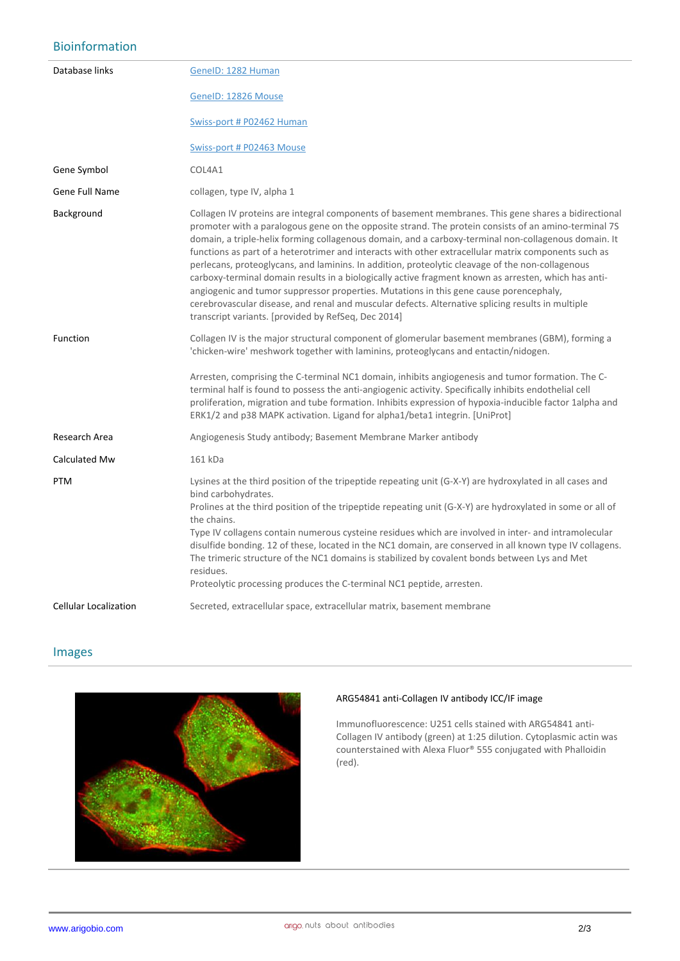### Bioinformation

| Database links               | GenelD: 1282 Human                                                                                                                                                                                                                                                                                                                                                                                                                                                                                                                                                                                                                                                                                                                                                                                                                                                                             |
|------------------------------|------------------------------------------------------------------------------------------------------------------------------------------------------------------------------------------------------------------------------------------------------------------------------------------------------------------------------------------------------------------------------------------------------------------------------------------------------------------------------------------------------------------------------------------------------------------------------------------------------------------------------------------------------------------------------------------------------------------------------------------------------------------------------------------------------------------------------------------------------------------------------------------------|
|                              | GeneID: 12826 Mouse                                                                                                                                                                                                                                                                                                                                                                                                                                                                                                                                                                                                                                                                                                                                                                                                                                                                            |
|                              | Swiss-port # P02462 Human                                                                                                                                                                                                                                                                                                                                                                                                                                                                                                                                                                                                                                                                                                                                                                                                                                                                      |
|                              | Swiss-port # P02463 Mouse                                                                                                                                                                                                                                                                                                                                                                                                                                                                                                                                                                                                                                                                                                                                                                                                                                                                      |
| Gene Symbol                  | COL4A1                                                                                                                                                                                                                                                                                                                                                                                                                                                                                                                                                                                                                                                                                                                                                                                                                                                                                         |
| Gene Full Name               | collagen, type IV, alpha 1                                                                                                                                                                                                                                                                                                                                                                                                                                                                                                                                                                                                                                                                                                                                                                                                                                                                     |
| Background                   | Collagen IV proteins are integral components of basement membranes. This gene shares a bidirectional<br>promoter with a paralogous gene on the opposite strand. The protein consists of an amino-terminal 7S<br>domain, a triple-helix forming collagenous domain, and a carboxy-terminal non-collagenous domain. It<br>functions as part of a heterotrimer and interacts with other extracellular matrix components such as<br>perlecans, proteoglycans, and laminins. In addition, proteolytic cleavage of the non-collagenous<br>carboxy-terminal domain results in a biologically active fragment known as arresten, which has anti-<br>angiogenic and tumor suppressor properties. Mutations in this gene cause porencephaly,<br>cerebrovascular disease, and renal and muscular defects. Alternative splicing results in multiple<br>transcript variants. [provided by RefSeq, Dec 2014] |
| Function                     | Collagen IV is the major structural component of glomerular basement membranes (GBM), forming a<br>'chicken-wire' meshwork together with laminins, proteoglycans and entactin/nidogen.                                                                                                                                                                                                                                                                                                                                                                                                                                                                                                                                                                                                                                                                                                         |
|                              | Arresten, comprising the C-terminal NC1 domain, inhibits angiogenesis and tumor formation. The C-<br>terminal half is found to possess the anti-angiogenic activity. Specifically inhibits endothelial cell<br>proliferation, migration and tube formation. Inhibits expression of hypoxia-inducible factor 1alpha and<br>ERK1/2 and p38 MAPK activation. Ligand for alpha1/beta1 integrin. [UniProt]                                                                                                                                                                                                                                                                                                                                                                                                                                                                                          |
| Research Area                | Angiogenesis Study antibody; Basement Membrane Marker antibody                                                                                                                                                                                                                                                                                                                                                                                                                                                                                                                                                                                                                                                                                                                                                                                                                                 |
| Calculated Mw                | 161 kDa                                                                                                                                                                                                                                                                                                                                                                                                                                                                                                                                                                                                                                                                                                                                                                                                                                                                                        |
| <b>PTM</b>                   | Lysines at the third position of the tripeptide repeating unit (G-X-Y) are hydroxylated in all cases and<br>bind carbohydrates.<br>Prolines at the third position of the tripeptide repeating unit (G-X-Y) are hydroxylated in some or all of<br>the chains.<br>Type IV collagens contain numerous cysteine residues which are involved in inter- and intramolecular<br>disulfide bonding. 12 of these, located in the NC1 domain, are conserved in all known type IV collagens.<br>The trimeric structure of the NC1 domains is stabilized by covalent bonds between Lys and Met<br>residues.<br>Proteolytic processing produces the C-terminal NC1 peptide, arresten.                                                                                                                                                                                                                        |
| <b>Cellular Localization</b> | Secreted, extracellular space, extracellular matrix, basement membrane                                                                                                                                                                                                                                                                                                                                                                                                                                                                                                                                                                                                                                                                                                                                                                                                                         |

#### Images



#### **ARG54841 anti-Collagen IV antibody ICC/IF image**

Immunofluorescence: U251 cells stained with ARG54841 anti-Collagen IV antibody (green) at 1:25 dilution. Cytoplasmic actin was counterstained with Alexa Fluor® 555 conjugated with Phalloidin (red).